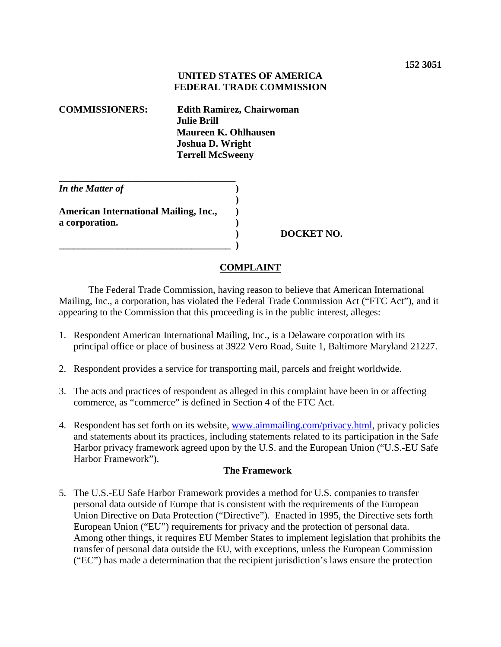## **UNITED STATES OF AMERICA FEDERAL TRADE COMMISSION**

| <b>COMMISSIONERS:</b> | <b>Edith Ramirez, Chairwoman</b> |
|-----------------------|----------------------------------|
|                       | <b>Julie Brill</b>               |
|                       | Maureen K. Ohlhausen             |
|                       | <b>Joshua D. Wright</b>          |
|                       | <b>Terrell McSweeny</b>          |
|                       |                                  |

| In the Matter of                             |  |
|----------------------------------------------|--|
|                                              |  |
| <b>American International Mailing, Inc.,</b> |  |
| a corporation.                               |  |
|                                              |  |
|                                              |  |

 **) DOCKET NO.**

## **COMPLAINT**

The Federal Trade Commission, having reason to believe that American International Mailing, Inc., a corporation, has violated the Federal Trade Commission Act ("FTC Act"), and it appearing to the Commission that this proceeding is in the public interest, alleges:

- 1. Respondent American International Mailing, Inc., is a Delaware corporation with its principal office or place of business at 3922 Vero Road, Suite 1, Baltimore Maryland 21227.
- 2. Respondent provides a service for transporting mail, parcels and freight worldwide.
- 3. The acts and practices of respondent as alleged in this complaint have been in or affecting commerce, as "commerce" is defined in Section 4 of the FTC Act.
- 4. Respondent has set forth on its website, [www.aimmailing.com/privacy.html,](http://www.aimmailing.com/privacy.html) privacy policies and statements about its practices, including statements related to its participation in the Safe Harbor privacy framework agreed upon by the U.S. and the European Union ("U.S.-EU Safe Harbor Framework").

## **The Framework**

5. The U.S.-EU Safe Harbor Framework provides a method for U.S. companies to transfer personal data outside of Europe that is consistent with the requirements of the European Union Directive on Data Protection ("Directive"). Enacted in 1995, the Directive sets forth European Union ("EU") requirements for privacy and the protection of personal data. Among other things, it requires EU Member States to implement legislation that prohibits the transfer of personal data outside the EU, with exceptions, unless the European Commission ("EC") has made a determination that the recipient jurisdiction's laws ensure the protection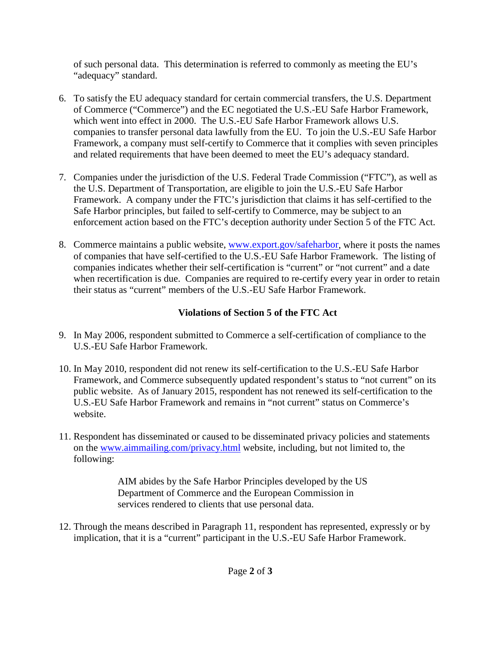of such personal data. This determination is referred to commonly as meeting the EU's "adequacy" standard.

- 6. To satisfy the EU adequacy standard for certain commercial transfers, the U.S. Department of Commerce ("Commerce") and the EC negotiated the U.S.-EU Safe Harbor Framework, which went into effect in 2000. The U.S.-EU Safe Harbor Framework allows U.S. companies to transfer personal data lawfully from the EU. To join the U.S.-EU Safe Harbor Framework, a company must self-certify to Commerce that it complies with seven principles and related requirements that have been deemed to meet the EU's adequacy standard.
- 7. Companies under the jurisdiction of the U.S. Federal Trade Commission ("FTC"), as well as the U.S. Department of Transportation, are eligible to join the U.S.-EU Safe Harbor Framework. A company under the FTC's jurisdiction that claims it has self-certified to the Safe Harbor principles, but failed to self-certify to Commerce, may be subject to an enforcement action based on the FTC's deception authority under Section 5 of the FTC Act.
- 8. Commerce maintains a public website, [www.export.gov/safeharbor,](http://www.export.gov/safeharbor) where it posts the names of companies that have self-certified to the U.S.-EU Safe Harbor Framework. The listing of companies indicates whether their self-certification is "current" or "not current" and a date when recertification is due. Companies are required to re-certify every year in order to retain their status as "current" members of the U.S.-EU Safe Harbor Framework.

## **Violations of Section 5 of the FTC Act**

- 9. In May 2006, respondent submitted to Commerce a self-certification of compliance to the U.S.-EU Safe Harbor Framework.
- 10. In May 2010, respondent did not renew its self-certification to the U.S.-EU Safe Harbor Framework, and Commerce subsequently updated respondent's status to "not current" on its public website. As of January 2015, respondent has not renewed its self-certification to the U.S.-EU Safe Harbor Framework and remains in "not current" status on Commerce's website.
- 11. Respondent has disseminated or caused to be disseminated privacy policies and statements on the [www.aimmailing.com/privacy.html](http://www.aimmailing.com/privacy.html) website, including, but not limited to, the following:

AIM abides by the Safe Harbor Principles developed by the US Department of Commerce and the European Commission in services rendered to clients that use personal data.

12. Through the means described in Paragraph 11, respondent has represented, expressly or by implication, that it is a "current" participant in the U.S.-EU Safe Harbor Framework.